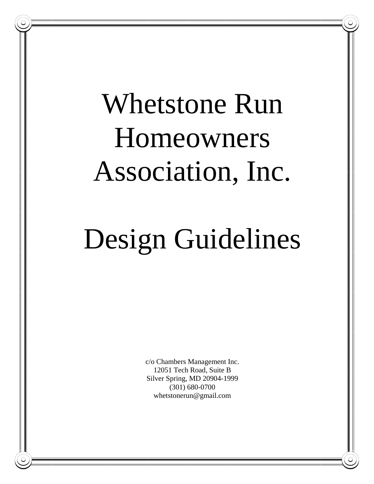# Whetstone Run Homeowners Association, Inc.

# Design Guidelines

c/o Chambers Management Inc. 12051 Tech Road, Suite B Silver Spring, MD 20904-1999 (301) 680-0700 whetstonerun@gmail.com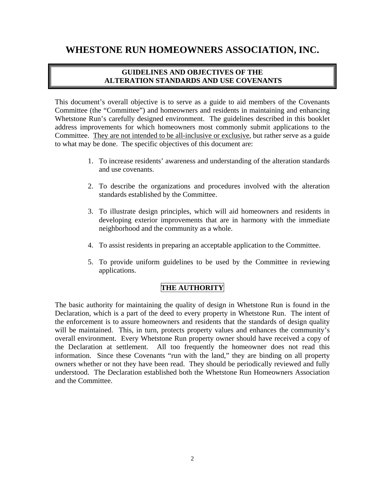# **WHESTONE RUN HOMEOWNERS ASSOCIATION, INC.**

# **GUIDELINES AND OBJECTIVES OF THE ALTERATION STANDARDS AND USE COVENANTS**

This document's overall objective is to serve as a guide to aid members of the Covenants Committee (the "Committee") and homeowners and residents in maintaining and enhancing Whetstone Run's carefully designed environment. The guidelines described in this booklet address improvements for which homeowners most commonly submit applications to the Committee. They are not intended to be all-inclusive or exclusive, but rather serve as a guide to what may be done. The specific objectives of this document are:

- 1. To increase residents' awareness and understanding of the alteration standards and use covenants.
- 2. To describe the organizations and procedures involved with the alteration standards established by the Committee.
- 3. To illustrate design principles, which will aid homeowners and residents in developing exterior improvements that are in harmony with the immediate neighborhood and the community as a whole.
- 4. To assist residents in preparing an acceptable application to the Committee.
- 5. To provide uniform guidelines to be used by the Committee in reviewing applications.

# **THE AUTHORITY**

The basic authority for maintaining the quality of design in Whetstone Run is found in the Declaration, which is a part of the deed to every property in Whetstone Run. The intent of the enforcement is to assure homeowners and residents that the standards of design quality will be maintained. This, in turn, protects property values and enhances the community's overall environment. Every Whetstone Run property owner should have received a copy of the Declaration at settlement. All too frequently the homeowner does not read this information. Since these Covenants "run with the land," they are binding on all property owners whether or not they have been read. They should be periodically reviewed and fully understood. The Declaration established both the Whetstone Run Homeowners Association and the Committee.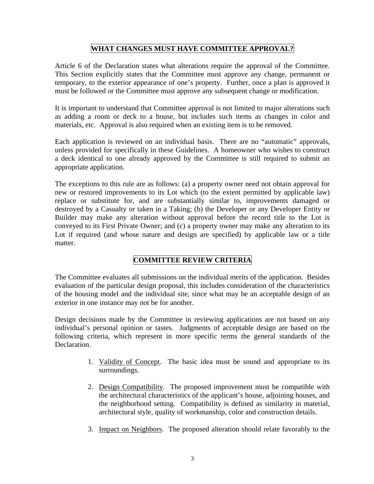# **WHAT CHANGES MUST HAVE COMMITTEE APPROVAL?**

Article 6 of the Declaration states what alterations require the approval of the Committee. This Section explicitly states that the Committee must approve any change, permanent or temporary, to the exterior appearance of one's property. Further, once a plan is approved it must be followed or the Committee must approve any subsequent change or modification.

It is important to understand that Committee approval is not limited to major alterations such as adding a room or deck to a house, but includes such items as changes in color and materials, etc. Approval is also required when an existing item is to be removed.

Each application is reviewed on an individual basis. There are no "automatic" approvals, unless provided for specifically in these Guidelines. A homeowner who wishes to construct a deck identical to one already approved by the Committee is still required to submit an appropriate application.

The exceptions to this rule are as follows: (a) a property owner need not obtain approval for new or restored improvements to its Lot which (to the extent permitted by applicable law) replace or substitute for, and are substantially similar to, improvements damaged or destroyed by a Casualty or taken in a Taking; (b) the Developer or any Developer Entity or Builder may make any alteration without approval before the record title to the Lot is conveyed to its First Private Owner; and (c) a property owner may make any alteration to its Lot if required (and whose nature and design are specified) by applicable law or a title matter.

# **COMMITTEE REVIEW CRITERIA**

The Committee evaluates all submissions on the individual merits of the application. Besides evaluation of the particular design proposal, this includes consideration of the characteristics of the housing model and the individual site, since what may be an acceptable design of an exterior in one instance may not be for another.

Design decisions made by the Committee in reviewing applications are not based on any individual's personal opinion or tastes. Judgments of acceptable design are based on the following criteria, which represent in more specific terms the general standards of the Declaration.

- 1. Validity of Concept. The basic idea must be sound and appropriate to its surroundings.
- 2. Design Compatibility. The proposed improvement must be compatible with the architectural characteristics of the applicant's house, adjoining houses, and the neighborhood setting. Compatibility is defined as similarity in material, architectural style, quality of workmanship, color and construction details.
- 3. Impact on Neighbors. The proposed alteration should relate favorably to the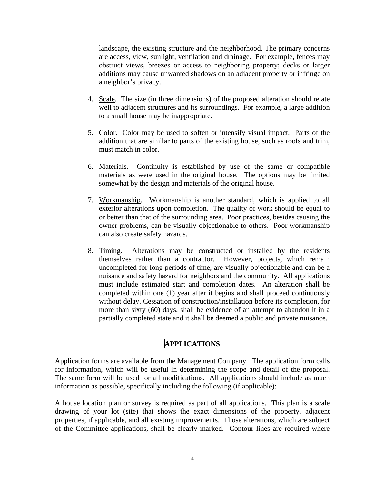landscape, the existing structure and the neighborhood. The primary concerns are access, view, sunlight, ventilation and drainage. For example, fences may obstruct views, breezes or access to neighboring property; decks or larger additions may cause unwanted shadows on an adjacent property or infringe on a neighbor's privacy.

- 4. Scale. The size (in three dimensions) of the proposed alteration should relate well to adjacent structures and its surroundings. For example, a large addition to a small house may be inappropriate.
- 5. Color. Color may be used to soften or intensify visual impact. Parts of the addition that are similar to parts of the existing house, such as roofs and trim, must match in color.
- 6. Materials. Continuity is established by use of the same or compatible materials as were used in the original house. The options may be limited somewhat by the design and materials of the original house.
- 7. Workmanship. Workmanship is another standard, which is applied to all exterior alterations upon completion. The quality of work should be equal to or better than that of the surrounding area. Poor practices, besides causing the owner problems, can be visually objectionable to others. Poor workmanship can also create safety hazards.
- 8. Timing. Alterations may be constructed or installed by the residents themselves rather than a contractor. However, projects, which remain uncompleted for long periods of time, are visually objectionable and can be a nuisance and safety hazard for neighbors and the community. All applications must include estimated start and completion dates. An alteration shall be completed within one (1) year after it begins and shall proceed continuously without delay. Cessation of construction/installation before its completion, for more than sixty (60) days, shall be evidence of an attempt to abandon it in a partially completed state and it shall be deemed a public and private nuisance.

# **APPLICATIONS**

Application forms are available from the Management Company. The application form calls for information, which will be useful in determining the scope and detail of the proposal. The same form will be used for all modifications. All applications should include as much information as possible, specifically including the following (if applicable):

A house location plan or survey is required as part of all applications. This plan is a scale drawing of your lot (site) that shows the exact dimensions of the property, adjacent properties, if applicable, and all existing improvements. Those alterations, which are subject of the Committee applications, shall be clearly marked. Contour lines are required where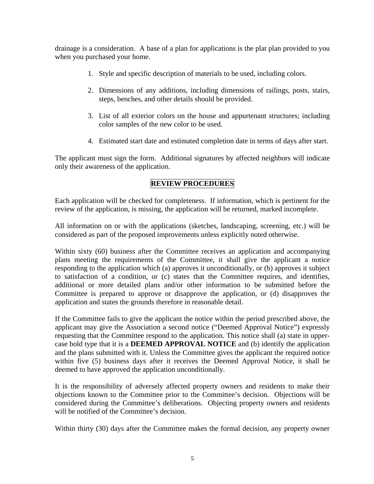drainage is a consideration. A base of a plan for applications is the plat plan provided to you when you purchased your home.

- 1. Style and specific description of materials to be used, including colors.
- 2. Dimensions of any additions, including dimensions of railings, posts, stairs, steps, benches, and other details should be provided.
- 3. List of all exterior colors on the house and appurtenant structures; including color samples of the new color to be used.
- 4. Estimated start date and estimated completion date in terms of days after start.

The applicant must sign the form. Additional signatures by affected neighbors will indicate only their awareness of the application.

# **REVIEW PROCEDURES**

Each application will be checked for completeness. If information, which is pertinent for the review of the application, is missing, the application will be returned, marked incomplete.

All information on or with the applications (sketches, landscaping, screening, etc.) will be considered as part of the proposed improvements unless explicitly noted otherwise.

Within sixty (60) business after the Committee receives an application and accompanying plans meeting the requirements of the Committee, it shall give the applicant a notice responding to the application which (a) approves it unconditionally, or (b) approves it subject to satisfaction of a condition, or (c) states that the Committee requires, and identifies, additional or more detailed plans and/or other information to be submitted before the Committee is prepared to approve or disapprove the application, or (d) disapproves the application and states the grounds therefore in reasonable detail.

If the Committee fails to give the applicant the notice within the period prescribed above, the applicant may give the Association a second notice ("Deemed Approval Notice") expressly requesting that the Committee respond to the application. This notice shall (a) state in uppercase bold type that it is a **DEEMED APPROVAL NOTICE** and (b) identify the application and the plans submitted with it. Unless the Committee gives the applicant the required notice within five (5) business days after it receives the Deemed Approval Notice, it shall be deemed to have approved the application unconditionally.

It is the responsibility of adversely affected property owners and residents to make their objections known to the Committee prior to the Committee's decision. Objections will be considered during the Committee's deliberations. Objecting property owners and residents will be notified of the Committee's decision.

Within thirty (30) days after the Committee makes the formal decision, any property owner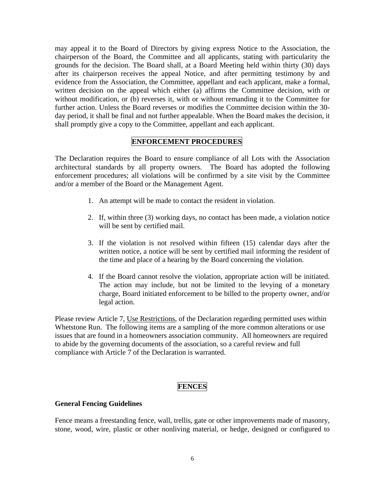may appeal it to the Board of Directors by giving express Notice to the Association, the chairperson of the Board, the Committee and all applicants, stating with particularity the grounds for the decision. The Board shall, at a Board Meeting held within thirty (30) days after its chairperson receives the appeal Notice, and after permitting testimony by and evidence from the Association, the Committee, appellant and each applicant, make a formal, written decision on the appeal which either (a) affirms the Committee decision, with or without modification, or (b) reverses it, with or without remanding it to the Committee for further action. Unless the Board reverses or modifies the Committee decision within the 30 day period, it shall be final and not further appealable. When the Board makes the decision, it shall promptly give a copy to the Committee, appellant and each applicant.

### **ENFORCEMENT PROCEDURES**

The Declaration requires the Board to ensure compliance of all Lots with the Association architectural standards by all property owners. The Board has adopted the following enforcement procedures; all violations will be confirmed by a site visit by the Committee and/or a member of the Board or the Management Agent.

- 1. An attempt will be made to contact the resident in violation.
- 2. If, within three (3) working days, no contact has been made, a violation notice will be sent by certified mail.
- 3. If the violation is not resolved within fifteen (15) calendar days after the written notice, a notice will be sent by certified mail informing the resident of the time and place of a hearing by the Board concerning the violation.
- 4. If the Board cannot resolve the violation, appropriate action will be initiated. The action may include, but not be limited to the levying of a monetary charge, Board initiated enforcement to be billed to the property owner, and/or legal action.

Please review Article 7, Use Restrictions, of the Declaration regarding permitted uses within Whetstone Run. The following items are a sampling of the more common alterations or use issues that are found in a homeowners association community. All homeowners are required to abide by the governing documents of the association, so a careful review and full compliance with Article 7 of the Declaration is warranted.

# **FENCES**

#### **General Fencing Guidelines**

Fence means a freestanding fence, wall, trellis, gate or other improvements made of masonry, stone, wood, wire, plastic or other nonliving material, or hedge, designed or configured to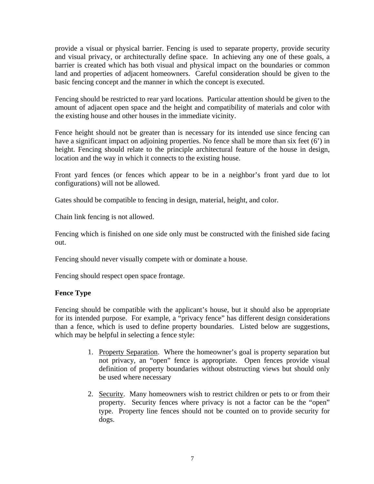provide a visual or physical barrier. Fencing is used to separate property, provide security and visual privacy, or architecturally define space. In achieving any one of these goals, a barrier is created which has both visual and physical impact on the boundaries or common land and properties of adjacent homeowners. Careful consideration should be given to the basic fencing concept and the manner in which the concept is executed.

Fencing should be restricted to rear yard locations. Particular attention should be given to the amount of adjacent open space and the height and compatibility of materials and color with the existing house and other houses in the immediate vicinity.

Fence height should not be greater than is necessary for its intended use since fencing can have a significant impact on adjoining properties. No fence shall be more than six feet (6') in height. Fencing should relate to the principle architectural feature of the house in design, location and the way in which it connects to the existing house.

Front yard fences (or fences which appear to be in a neighbor's front yard due to lot configurations) will not be allowed.

Gates should be compatible to fencing in design, material, height, and color.

Chain link fencing is not allowed.

Fencing which is finished on one side only must be constructed with the finished side facing out.

Fencing should never visually compete with or dominate a house.

Fencing should respect open space frontage.

# **Fence Type**

Fencing should be compatible with the applicant's house, but it should also be appropriate for its intended purpose. For example, a "privacy fence" has different design considerations than a fence, which is used to define property boundaries. Listed below are suggestions, which may be helpful in selecting a fence style:

- 1. Property Separation. Where the homeowner's goal is property separation but not privacy, an "open" fence is appropriate. Open fences provide visual definition of property boundaries without obstructing views but should only be used where necessary
- 2. Security. Many homeowners wish to restrict children or pets to or from their property. Security fences where privacy is not a factor can be the "open" type. Property line fences should not be counted on to provide security for dogs.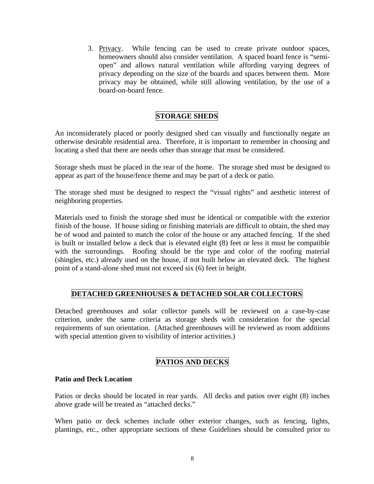3. Privacy. While fencing can be used to create private outdoor spaces, homeowners should also consider ventilation. A spaced board fence is "semiopen" and allows natural ventilation while affording varying degrees of privacy depending on the size of the boards and spaces between them. More privacy may be obtained, while still allowing ventilation, by the use of a board-on-board fence.

# **STORAGE SHEDS**

An inconsiderately placed or poorly designed shed can visually and functionally negate an otherwise desirable residential area. Therefore, it is important to remember in choosing and locating a shed that there are needs other than storage that must be considered.

Storage sheds must be placed in the rear of the home. The storage shed must be designed to appear as part of the house/fence theme and may be part of a deck or patio.

The storage shed must be designed to respect the "visual rights" and aesthetic interest of neighboring properties.

Materials used to finish the storage shed must be identical or compatible with the exterior finish of the house. If house siding or finishing materials are difficult to obtain, the shed may be of wood and painted to match the color of the house or any attached fencing. If the shed is built or installed below a deck that is elevated eight (8) feet or less it must be compatible with the surroundings. Roofing should be the type and color of the roofing material (shingles, etc.) already used on the house, if not built below an elevated deck. The highest point of a stand-alone shed must not exceed six (6) feet in height.

# **DETACHED GREENHOUSES & DETACHED SOLAR COLLECTORS**

Detached greenhouses and solar collector panels will be reviewed on a case-by-case criterion, under the same criteria as storage sheds with consideration for the special requirements of sun orientation. (Attached greenhouses will be reviewed as room additions with special attention given to visibility of interior activities.)

# **PATIOS AND DECKS**

#### **Patio and Deck Location**

Patios or decks should be located in rear yards. All decks and patios over eight (8) inches above grade will be treated as "attached decks."

When patio or deck schemes include other exterior changes, such as fencing, lights, plantings, etc., other appropriate sections of these Guidelines should be consulted prior to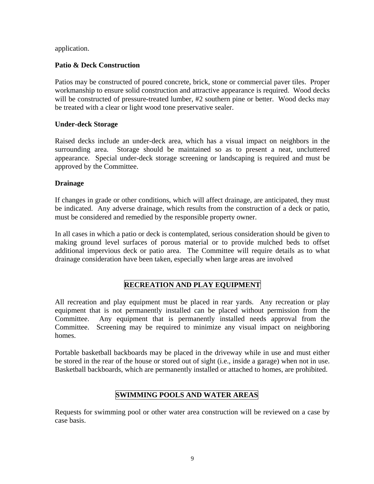application.

# **Patio & Deck Construction**

Patios may be constructed of poured concrete, brick, stone or commercial paver tiles. Proper workmanship to ensure solid construction and attractive appearance is required. Wood decks will be constructed of pressure-treated lumber, #2 southern pine or better. Wood decks may be treated with a clear or light wood tone preservative sealer.

#### **Under-deck Storage**

Raised decks include an under-deck area, which has a visual impact on neighbors in the surrounding area. Storage should be maintained so as to present a neat, uncluttered appearance. Special under-deck storage screening or landscaping is required and must be approved by the Committee.

## **Drainage**

If changes in grade or other conditions, which will affect drainage, are anticipated, they must be indicated. Any adverse drainage, which results from the construction of a deck or patio, must be considered and remedied by the responsible property owner.

In all cases in which a patio or deck is contemplated, serious consideration should be given to making ground level surfaces of porous material or to provide mulched beds to offset additional impervious deck or patio area. The Committee will require details as to what drainage consideration have been taken, especially when large areas are involved

# **RECREATION AND PLAY EQUIPMENT**

All recreation and play equipment must be placed in rear yards. Any recreation or play equipment that is not permanently installed can be placed without permission from the Committee. Any equipment that is permanently installed needs approval from the Committee. Screening may be required to minimize any visual impact on neighboring homes.

Portable basketball backboards may be placed in the driveway while in use and must either be stored in the rear of the house or stored out of sight (i.e., inside a garage) when not in use. Basketball backboards, which are permanently installed or attached to homes, are prohibited.

# **SWIMMING POOLS AND WATER AREAS**

Requests for swimming pool or other water area construction will be reviewed on a case by case basis.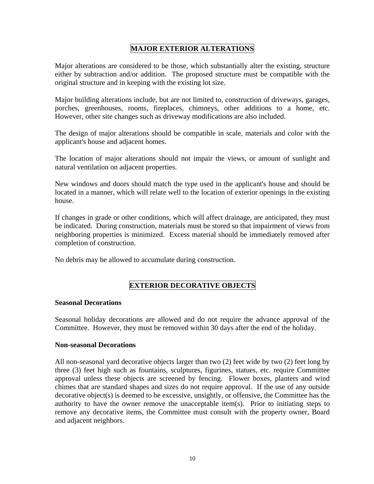# **MAJOR EXTERIOR ALTERATIONS**

Major alterations are considered to be those, which substantially alter the existing, structure either by subtraction and/or addition. The proposed structure must be compatible with the original structure and in keeping with the existing lot size.

Major building alterations include, but are not limited to, construction of driveways, garages, porches, greenhouses, rooms, fireplaces, chimneys, other additions to a home, etc. However, other site changes such as driveway modifications are also included.

The design of major alterations should be compatible in scale, materials and color with the applicant's house and adjacent homes.

The location of major alterations should not impair the views, or amount of sunlight and natural ventilation on adjacent properties.

New windows and doors should match the type used in the applicant's house and should be located in a manner, which will relate well to the location of exterior openings in the existing house.

If changes in grade or other conditions, which will affect drainage, are anticipated, they must be indicated. During construction, materials must be stored so that impairment of views from neighboring properties is minimized. Excess material should be immediately removed after completion of construction.

No debris may be allowed to accumulate during construction.

# **EXTERIOR DECORATIVE OBJECTS**

#### **Seasonal Decorations**

Seasonal holiday decorations are allowed and do not require the advance approval of the Committee. However, they must be removed within 30 days after the end of the holiday.

#### **Non-seasonal Decorations**

All non-seasonal yard decorative objects larger than two (2) feet wide by two (2) feet long by three (3) feet high such as fountains, sculptures, figurines, statues, etc. require Committee approval unless these objects are screened by fencing. Flower boxes, planters and wind chimes that are standard shapes and sizes do not require approval. If the use of any outside decorative object(s) is deemed to be excessive, unsightly, or offensive, the Committee has the authority to have the owner remove the unacceptable item(s). Prior to initiating steps to remove any decorative items, the Committee must consult with the property owner, Board and adjacent neighbors.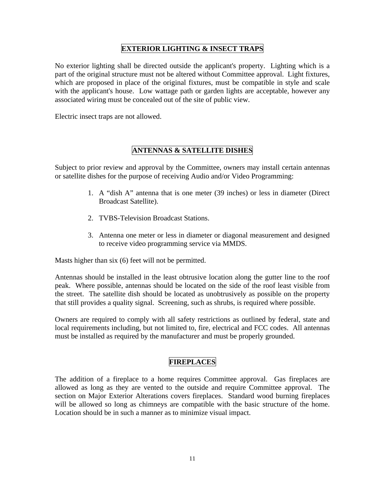# **EXTERIOR LIGHTING & INSECT TRAPS**

No exterior lighting shall be directed outside the applicant's property. Lighting which is a part of the original structure must not be altered without Committee approval. Light fixtures, which are proposed in place of the original fixtures, must be compatible in style and scale with the applicant's house. Low wattage path or garden lights are acceptable, however any associated wiring must be concealed out of the site of public view.

Electric insect traps are not allowed.

# **ANTENNAS & SATELLITE DISHES**

Subject to prior review and approval by the Committee, owners may install certain antennas or satellite dishes for the purpose of receiving Audio and/or Video Programming:

- 1. A "dish A" antenna that is one meter (39 inches) or less in diameter (Direct Broadcast Satellite).
- 2. TVBS-Television Broadcast Stations.
- 3. Antenna one meter or less in diameter or diagonal measurement and designed to receive video programming service via MMDS.

Masts higher than six (6) feet will not be permitted.

Antennas should be installed in the least obtrusive location along the gutter line to the roof peak. Where possible, antennas should be located on the side of the roof least visible from the street. The satellite dish should be located as unobtrusively as possible on the property that still provides a quality signal. Screening, such as shrubs, is required where possible.

Owners are required to comply with all safety restrictions as outlined by federal, state and local requirements including, but not limited to, fire, electrical and FCC codes. All antennas must be installed as required by the manufacturer and must be properly grounded.

# **FIREPLACES**

The addition of a fireplace to a home requires Committee approval. Gas fireplaces are allowed as long as they are vented to the outside and require Committee approval. The section on Major Exterior Alterations covers fireplaces. Standard wood burning fireplaces will be allowed so long as chimneys are compatible with the basic structure of the home. Location should be in such a manner as to minimize visual impact.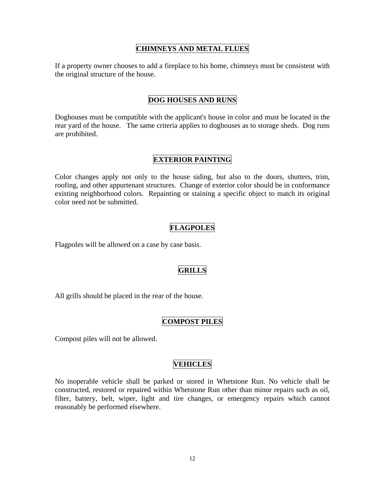# **CHIMNEYS AND METAL FLUES**

If a property owner chooses to add a fireplace to his home, chimneys must be consistent with the original structure of the house.

## **DOG HOUSES AND RUNS**

Doghouses must be compatible with the applicant's house in color and must be located in the rear yard of the house. The same criteria applies to doghouses as to storage sheds. Dog runs are prohibited.

#### **EXTERIOR PAINTING**

Color changes apply not only to the house siding, but also to the doors, shutters, trim, roofing, and other appurtenant structures. Change of exterior color should be in conformance existing neighborhood colors. Repainting or staining a specific object to match its original color need not be submitted.

# **FLAGPOLES**

Flagpoles will be allowed on a case by case basis.

# **GRILLS**

All grills should be placed in the rear of the house.

# **COMPOST PILES**

Compost piles will not be allowed.

#### **VEHICLES**

No inoperable vehicle shall be parked or stored in Whetstone Run. No vehicle shall be constructed, restored or repaired within Whetstone Run other than minor repairs such as oil, filter, battery, belt, wiper, light and tire changes, or emergency repairs which cannot reasonably be performed elsewhere.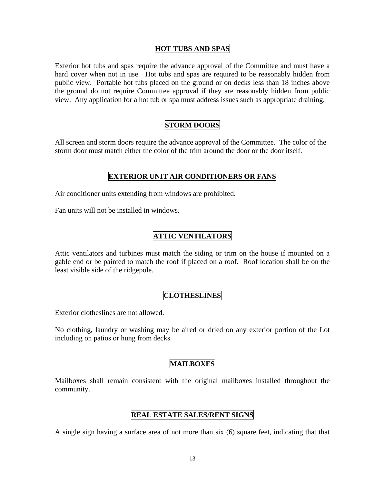## **HOT TUBS AND SPAS**

Exterior hot tubs and spas require the advance approval of the Committee and must have a hard cover when not in use. Hot tubs and spas are required to be reasonably hidden from public view. Portable hot tubs placed on the ground or on decks less than 18 inches above the ground do not require Committee approval if they are reasonably hidden from public view. Any application for a hot tub or spa must address issues such as appropriate draining.

# **STORM DOORS**

All screen and storm doors require the advance approval of the Committee. The color of the storm door must match either the color of the trim around the door or the door itself.

## **EXTERIOR UNIT AIR CONDITIONERS OR FANS**

Air conditioner units extending from windows are prohibited.

Fan units will not be installed in windows.

# **ATTIC VENTILATORS**

Attic ventilators and turbines must match the siding or trim on the house if mounted on a gable end or be painted to match the roof if placed on a roof. Roof location shall be on the least visible side of the ridgepole.

# **CLOTHESLINES**

Exterior clotheslines are not allowed.

No clothing, laundry or washing may be aired or dried on any exterior portion of the Lot including on patios or hung from decks.

# **MAILBOXES**

Mailboxes shall remain consistent with the original mailboxes installed throughout the community.

# **REAL ESTATE SALES/RENT SIGNS**

A single sign having a surface area of not more than six (6) square feet, indicating that that